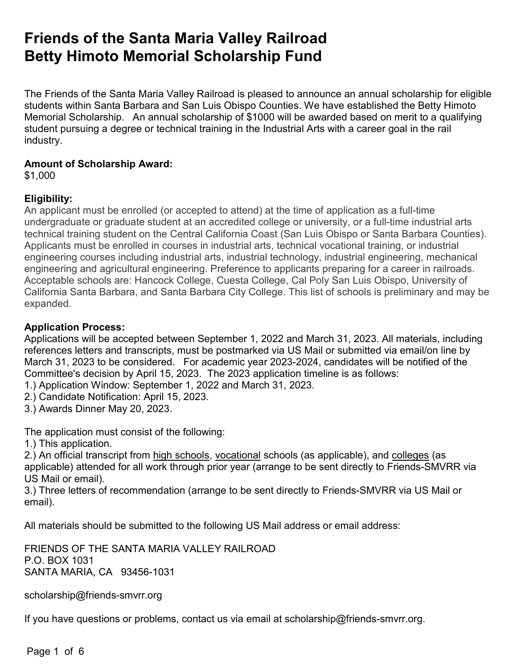# Friends of the Santa Maria Valley Railroad Betty Himoto Memorial Scholarship Fund

The Friends of the Santa Maria Valley Railroad is pleased to announce an annual scholarship for eligible students within Santa Barbara and San Luis Obispo Counties. We have established the Betty Himoto Memorial Scholarship. An annual scholarship of \$1000 will be awarded based on merit to a qualifying student pursuing a degree or technical training in the Industrial Arts with a career goal in the rail industry.

### Amount of Scholarship Award:

\$1,000

### Eligibility:

An applicant must be enrolled (or accepted to attend) at the time of application as a full-time undergraduate or graduate student at an accredited college or university, or a full-time industrial arts technical training student on the Central California Coast (San Luis Obispo or Santa Barbara Counties). Applicants must be enrolled in courses in industrial arts, technical vocational training, or industrial engineering courses including industrial arts, industrial technology, industrial engineering, mechanical engineering and agricultural engineering. Preference to applicants preparing for a career in railroads. Acceptable schools are: Hancock College, Cuesta College, Cal Poly San Luis Obispo, University of California Santa Barbara, and Santa Barbara City College. This list of schools is preliminary and may be expanded.

### Application Process:

Applications will be accepted between September 1, 2022 and March 31, 2023. All materials, including references letters and transcripts, must be postmarked via US Mail or submitted via email/on line by March 31, 2023 to be considered. For academic year 2023-2024, candidates will be notified of the Committee's decision by April 15, 2023. The 2023 application timeline is as follows:

1.) Application Window: September 1, 2022 and March 31, 2023.

2.) Candidate Notification: April 15, 2023.

3.) Awards Dinner May 20, 2023.

The application must consist of the following:

1.) This application.

2.) An official transcript from high schools, vocational schools (as applicable), and colleges (as applicable) attended for all work through prior year (arrange to be sent directly to Friends-SMVRR via US Mail or email).

3.) Three letters of recommendation (arrange to be sent directly to Friends-SMVRR via US Mail or email).

All materials should be submitted to the following US Mail address or email address:

FRIENDS OF THE SANTA MARIA VALLEY RAILROAD P.O. BOX 1031 SANTA MARIA, CA 93456-1031

scholarship@friends-smvrr.org

If you have questions or problems, contact us via email at scholarship@friends-smvrr.org.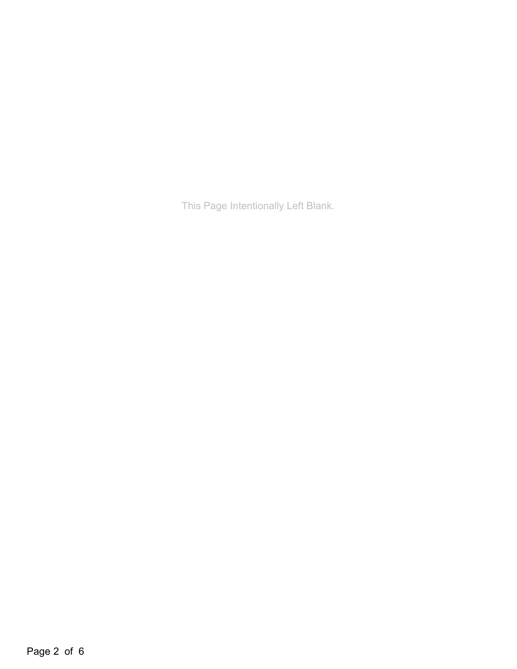This Page Intentionally Left Blank.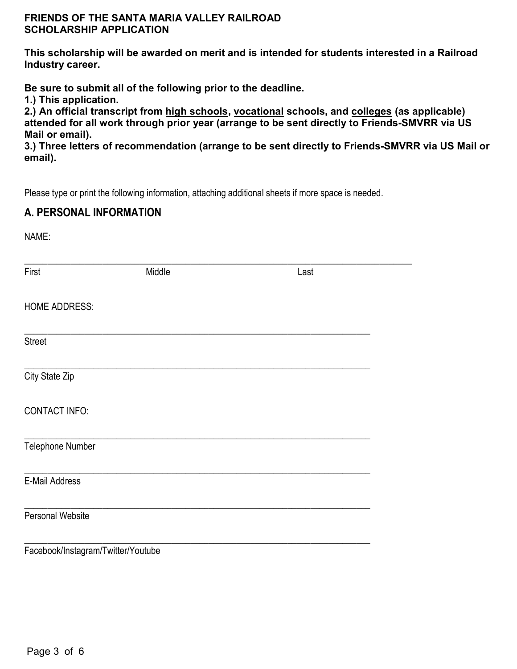#### FRIENDS OF THE SANTA MARIA VALLEY RAILROAD SCHOLARSHIP APPLICATION

This scholarship will be awarded on merit and is intended for students interested in a Railroad Industry career.

Be sure to submit all of the following prior to the deadline.

1.) This application.

2.) An official transcript from high schools, vocational schools, and colleges (as applicable) attended for all work through prior year (arrange to be sent directly to Friends-SMVRR via US Mail or email).

3.) Three letters of recommendation (arrange to be sent directly to Friends-SMVRR via US Mail or email).

Please type or print the following information, attaching additional sheets if more space is needed.

## A. PERSONAL INFORMATION

| NAME:                              |        |      |  |
|------------------------------------|--------|------|--|
| First                              | Middle | Last |  |
| <b>HOME ADDRESS:</b>               |        |      |  |
| <b>Street</b>                      |        |      |  |
| City State Zip                     |        |      |  |
| <b>CONTACT INFO:</b>               |        |      |  |
| Telephone Number                   |        |      |  |
| E-Mail Address                     |        |      |  |
| Personal Website                   |        |      |  |
| Facebook/Instagram/Twitter/Youtube |        |      |  |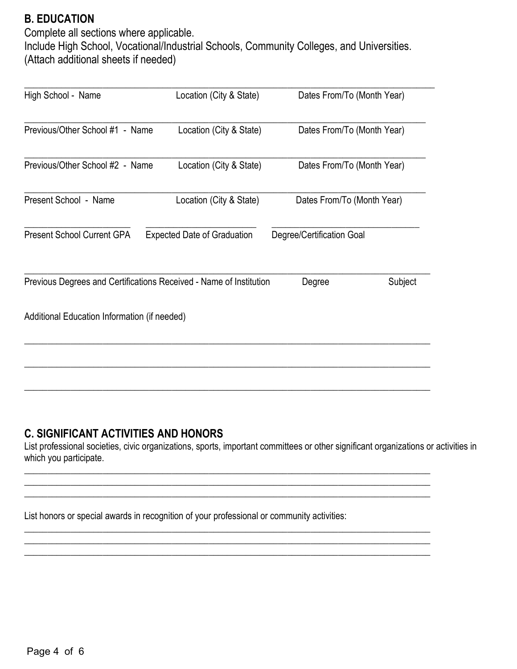## B. EDUCATION

Complete all sections where applicable.

Include High School, Vocational/Industrial Schools, Community Colleges, and Universities. (Attach additional sheets if needed)

| High School - Name                                                 | Location (City & State)<br>Location (City & State)<br>Location (City & State) | Dates From/To (Month Year)<br>Dates From/To (Month Year)<br>Dates From/To (Month Year) |         |
|--------------------------------------------------------------------|-------------------------------------------------------------------------------|----------------------------------------------------------------------------------------|---------|
| Previous/Other School #1 - Name                                    |                                                                               |                                                                                        |         |
| Previous/Other School #2 - Name                                    |                                                                               |                                                                                        |         |
|                                                                    |                                                                               |                                                                                        |         |
| Present School - Name                                              | Location (City & State)                                                       | Dates From/To (Month Year)                                                             |         |
| <b>Present School Current GPA</b>                                  | <b>Expected Date of Graduation</b>                                            | Degree/Certification Goal                                                              |         |
| Previous Degrees and Certifications Received - Name of Institution |                                                                               | Degree                                                                                 | Subject |
| Additional Education Information (if needed)                       |                                                                               |                                                                                        |         |

# C. SIGNIFICANT ACTIVITIES AND HONORS

List professional societies, civic organizations, sports, important committees or other significant organizations or activities in which you participate.  $\mathcal{L}_\mathcal{L} = \mathcal{L}_\mathcal{L} = \mathcal{L}_\mathcal{L} = \mathcal{L}_\mathcal{L} = \mathcal{L}_\mathcal{L} = \mathcal{L}_\mathcal{L} = \mathcal{L}_\mathcal{L} = \mathcal{L}_\mathcal{L} = \mathcal{L}_\mathcal{L} = \mathcal{L}_\mathcal{L} = \mathcal{L}_\mathcal{L} = \mathcal{L}_\mathcal{L} = \mathcal{L}_\mathcal{L} = \mathcal{L}_\mathcal{L} = \mathcal{L}_\mathcal{L} = \mathcal{L}_\mathcal{L} = \mathcal{L}_\mathcal{L}$ 

\_\_\_\_\_\_\_\_\_\_\_\_\_\_\_\_\_\_\_\_\_\_\_\_\_\_\_\_\_\_\_\_\_\_\_\_\_\_\_\_\_\_\_\_\_\_\_\_\_\_\_\_\_\_\_\_\_\_\_\_\_\_\_\_\_\_\_\_\_\_\_\_\_\_\_\_\_\_\_\_\_\_\_\_\_\_\_\_

\_\_\_\_\_\_\_\_\_\_\_\_\_\_\_\_\_\_\_\_\_\_\_\_\_\_\_\_\_\_\_\_\_\_\_\_\_\_\_\_\_\_\_\_\_\_\_\_\_\_\_\_\_\_\_\_\_\_\_\_\_\_\_\_\_\_\_\_\_\_\_\_\_\_\_\_\_\_\_\_\_\_\_\_\_\_\_\_

\_\_\_\_\_\_\_\_\_\_\_\_\_\_\_\_\_\_\_\_\_\_\_\_\_\_\_\_\_\_\_\_\_\_\_\_\_\_\_\_\_\_\_\_\_\_\_\_\_\_\_\_\_\_\_\_\_\_\_\_\_\_\_\_\_\_\_\_\_\_\_\_\_\_\_\_\_\_\_\_\_\_\_\_\_\_\_\_

List honors or special awards in recognition of your professional or community activities: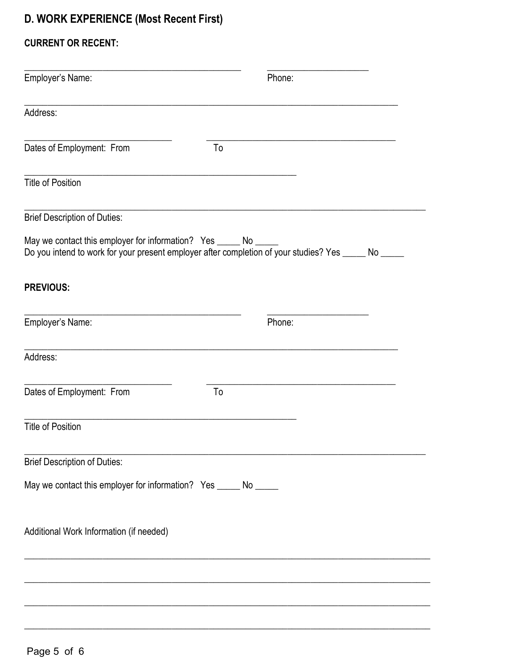# D. WORK EXPERIENCE (Most Recent First)

### **CURRENT OR RECENT:**

| Phone:                                                                                                                                                              |  |
|---------------------------------------------------------------------------------------------------------------------------------------------------------------------|--|
|                                                                                                                                                                     |  |
| To                                                                                                                                                                  |  |
|                                                                                                                                                                     |  |
|                                                                                                                                                                     |  |
| May we contact this employer for information? Yes ______ No _____<br>Do you intend to work for your present employer after completion of your studies? Yes _____ No |  |
|                                                                                                                                                                     |  |
| Phone:                                                                                                                                                              |  |
|                                                                                                                                                                     |  |
| To                                                                                                                                                                  |  |
|                                                                                                                                                                     |  |
|                                                                                                                                                                     |  |
| May we contact this employer for information? Yes _____ No _____                                                                                                    |  |
|                                                                                                                                                                     |  |
|                                                                                                                                                                     |  |
|                                                                                                                                                                     |  |
|                                                                                                                                                                     |  |